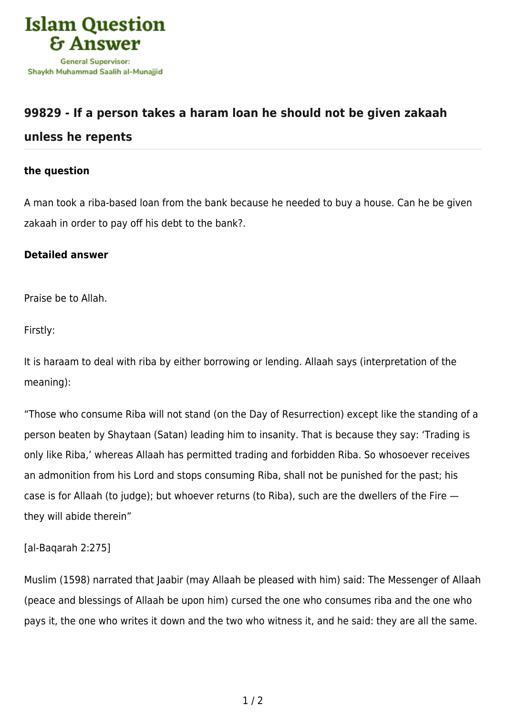

# **[99829 - If a person takes a haram loan he should not be given zakaah](https://islamqa.info/en/answers/99829/if-a-person-takes-a-haram-loan-he-should-not-be-given-zakaah-unless-he-repents)**

## **[unless he repents](https://islamqa.info/en/answers/99829/if-a-person-takes-a-haram-loan-he-should-not-be-given-zakaah-unless-he-repents)**

#### **the question**

A man took a riba-based loan from the bank because he needed to buy a house. Can he be given zakaah in order to pay off his debt to the bank?.

#### **Detailed answer**

Praise be to Allah.

Firstly:

It is haraam to deal with riba by either borrowing or lending. Allaah says (interpretation of the meaning):

"Those who consume Riba will not stand (on the Day of Resurrection) except like the standing of a person beaten by Shaytaan (Satan) leading him to insanity. That is because they say: 'Trading is only like Riba,' whereas Allaah has permitted trading and forbidden Riba. So whosoever receives an admonition from his Lord and stops consuming Riba, shall not be punished for the past; his case is for Allaah (to judge); but whoever returns (to Riba), such are the dwellers of the Fire they will abide therein"

### [al-Baqarah 2:275]

Muslim (1598) narrated that Jaabir (may Allaah be pleased with him) said: The Messenger of Allaah (peace and blessings of Allaah be upon him) cursed the one who consumes riba and the one who pays it, the one who writes it down and the two who witness it, and he said: they are all the same.